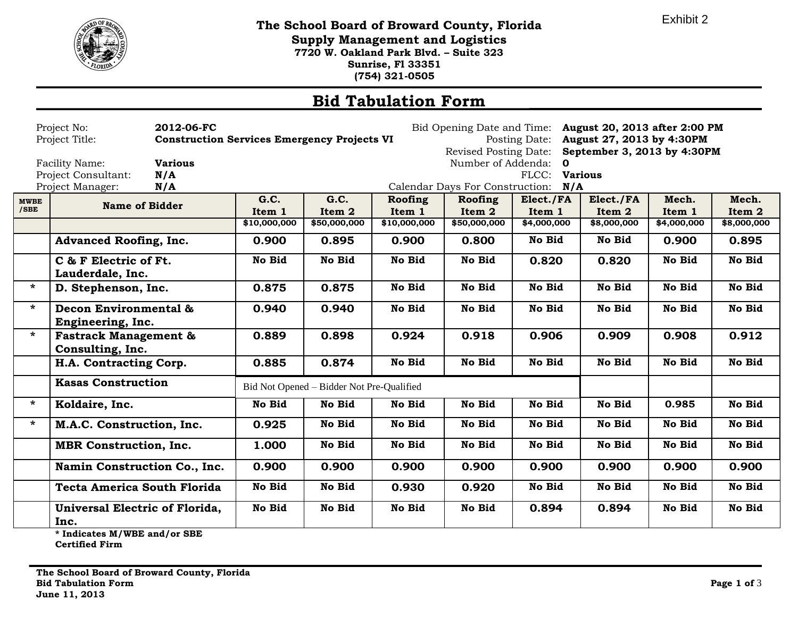

**The School Board of Broward County, Florida Supply Management and Logistics 7720 W. Oakland Park Blvd. – Suite 323 Sunrise, Fl 33351 (754) 321-0505**

## **Bid Tabulation Form**

|                     | Project No:<br>2012-06-FC<br>Project Title:                            | <b>Construction Services Emergency Projects VI</b> | Bid Opening Date and Time: August 20, 2013 after 2:00 PM<br>Posting Date: August 27, 2013 by 4:30PM<br>Revised Posting Date: September 3, 2013 by 4:30PM |                   |                                     |                     |                     |                 |                 |
|---------------------|------------------------------------------------------------------------|----------------------------------------------------|----------------------------------------------------------------------------------------------------------------------------------------------------------|-------------------|-------------------------------------|---------------------|---------------------|-----------------|-----------------|
|                     | <b>Various</b><br>Facility Name:<br>Project Consultant:<br>N/A         |                                                    |                                                                                                                                                          |                   | Number of Addenda: 0                | FLCC: Various       |                     |                 |                 |
|                     | Project Manager:<br>N/A                                                |                                                    |                                                                                                                                                          |                   | Calendar Days For Construction: N/A |                     |                     |                 |                 |
| <b>MWBE</b><br>/SBE | <b>Name of Bidder</b>                                                  | G.C.<br>Item 1                                     | G.C.<br>Item 2                                                                                                                                           | Roofing<br>Item 1 | Roofing<br>Item 2                   | Elect./FA<br>Item 1 | Elect./FA<br>Item 2 | Mech.<br>Item 1 | Mech.<br>Item 2 |
|                     |                                                                        | \$10,000,000                                       | \$50,000,000                                                                                                                                             | \$10,000,000      | \$50,000,000                        | \$4,000,000         | \$8,000,000         | \$4,000,000     | \$8,000,000     |
|                     | <b>Advanced Roofing, Inc.</b>                                          | 0.900                                              | 0.895                                                                                                                                                    | 0.900             | 0.800                               | No Bid              | No Bid              | 0.900           | 0.895           |
|                     | C & F Electric of Ft.<br>Lauderdale, Inc.                              | No Bid                                             | <b>No Bid</b>                                                                                                                                            | <b>No Bid</b>     | No Bid                              | 0.820               | 0.820               | No Bid          | No Bid          |
|                     | D. Stephenson, Inc.                                                    | 0.875                                              | 0.875                                                                                                                                                    | <b>No Bid</b>     | No Bid                              | No Bid              | No Bid              | No Bid          | No Bid          |
|                     | Decon Environmental &<br>Engineering, Inc.                             | 0.940                                              | 0.940                                                                                                                                                    | <b>No Bid</b>     | No Bid                              | No Bid              | No Bid              | No Bid          | No Bid          |
|                     | <b>Fastrack Management &amp;</b><br>Consulting, Inc.                   | 0.889                                              | 0.898                                                                                                                                                    | 0.924             | 0.918                               | 0.906               | 0.909               | 0.908           | 0.912           |
|                     | H.A. Contracting Corp.                                                 | 0.885                                              | 0.874                                                                                                                                                    | <b>No Bid</b>     | No Bid                              | No Bid              | No Bid              | No Bid          | No Bid          |
|                     | <b>Kasas Construction</b><br>Bid Not Opened - Bidder Not Pre-Qualified |                                                    |                                                                                                                                                          |                   |                                     |                     |                     |                 |                 |
|                     | Koldaire, Inc.                                                         | No Bid                                             | No Bid                                                                                                                                                   | No Bid            | No Bid                              | No Bid              | No Bid              | 0.985           | No Bid          |
|                     | M.A.C. Construction, Inc.                                              | 0.925                                              | <b>No Bid</b>                                                                                                                                            | No Bid            | No Bid                              | No Bid              | No Bid              | No Bid          | No Bid          |
|                     | <b>MBR</b> Construction, Inc.                                          | 1.000                                              | No Bid                                                                                                                                                   | <b>No Bid</b>     | No Bid                              | No Bid              | No Bid              | No Bid          | No Bid          |
|                     | Namin Construction Co., Inc.                                           | 0.900                                              | 0.900                                                                                                                                                    | 0.900             | 0.900                               | 0.900               | 0.900               | 0.900           | 0.900           |
|                     | <b>Tecta America South Florida</b>                                     | <b>No Bid</b>                                      | No Bid                                                                                                                                                   | 0.930             | 0.920                               | No Bid              | No Bid              | No Bid          | No Bid          |
|                     | Universal Electric of Florida,<br>Inc.                                 | No Bid                                             | <b>No Bid</b>                                                                                                                                            | No Bid            | No Bid                              | 0.894               | 0.894               | No Bid          | No Bid          |
|                     |                                                                        |                                                    |                                                                                                                                                          |                   |                                     |                     |                     |                 |                 |

**\* Indicates M/WBE and/or SBE** 

**Certified Firm**

Exhibit 2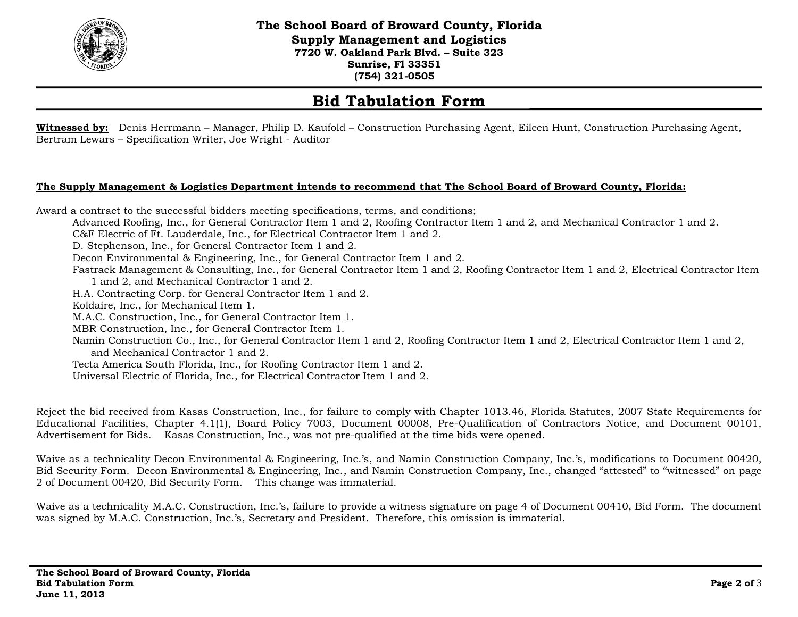

**The School Board of Broward County, Florida Supply Management and Logistics 7720 W. Oakland Park Blvd. – Suite 323 Sunrise, Fl 33351 (754) 321-0505**

## **Bid Tabulation Form**

**Witnessed by:** Denis Herrmann – Manager, Philip D. Kaufold – Construction Purchasing Agent, Eileen Hunt, Construction Purchasing Agent, Bertram Lewars – Specification Writer, Joe Wright - Auditor

## **The Supply Management & Logistics Department intends to recommend that The School Board of Broward County, Florida:**

Award a contract to the successful bidders meeting specifications, terms, and conditions; Advanced Roofing, Inc., for General Contractor Item 1 and 2, Roofing Contractor Item 1 and 2, and Mechanical Contractor 1 and 2. C&F Electric of Ft. Lauderdale, Inc., for Electrical Contractor Item 1 and 2. D. Stephenson, Inc., for General Contractor Item 1 and 2. Decon Environmental & Engineering, Inc., for General Contractor Item 1 and 2. Fastrack Management & Consulting, Inc., for General Contractor Item 1 and 2, Roofing Contractor Item 1 and 2, Electrical Contractor Item 1 and 2, and Mechanical Contractor 1 and 2. H.A. Contracting Corp. for General Contractor Item 1 and 2. Koldaire, Inc., for Mechanical Item 1. M.A.C. Construction, Inc., for General Contractor Item 1. MBR Construction, Inc., for General Contractor Item 1. Namin Construction Co., Inc., for General Contractor Item 1 and 2, Roofing Contractor Item 1 and 2, Electrical Contractor Item 1 and 2, and Mechanical Contractor 1 and 2. Tecta America South Florida, Inc., for Roofing Contractor Item 1 and 2. Universal Electric of Florida, Inc., for Electrical Contractor Item 1 and 2.

Reject the bid received from Kasas Construction, Inc., for failure to comply with Chapter 1013.46, Florida Statutes, 2007 State Requirements for Educational Facilities, Chapter 4.1(1), Board Policy 7003, Document 00008, Pre-Qualification of Contractors Notice, and Document 00101, Advertisement for Bids. Kasas Construction, Inc., was not pre-qualified at the time bids were opened.

Waive as a technicality Decon Environmental & Engineering, Inc.'s, and Namin Construction Company, Inc.'s, modifications to Document 00420, Bid Security Form. Decon Environmental & Engineering, Inc., and Namin Construction Company, Inc., changed "attested" to "witnessed" on page 2 of Document 00420, Bid Security Form. This change was immaterial.

Waive as a technicality M.A.C. Construction, Inc.'s, failure to provide a witness signature on page 4 of Document 00410, Bid Form. The document was signed by M.A.C. Construction, Inc.'s, Secretary and President. Therefore, this omission is immaterial.